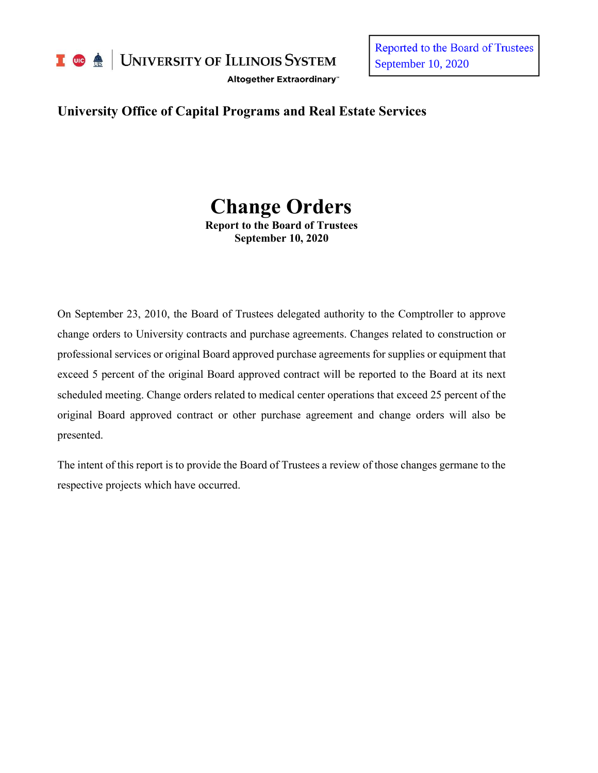

I **C**  $\triangle$  UNIVERSITY OF ILLINOIS SYSTEM

Altogether Extraordinary"

Reported to the Board of Trustees September 10, 2020

# **University Office of Capital Programs and Real Estate Services**

# **Change Orders**

**Report to the Board of Trustees September 10, 2020**

On September 23, 2010, the Board of Trustees delegated authority to the Comptroller to approve change orders to University contracts and purchase agreements. Changes related to construction or professional services or original Board approved purchase agreements for supplies or equipment that exceed 5 percent of the original Board approved contract will be reported to the Board at its next scheduled meeting. Change orders related to medical center operations that exceed 25 percent of the original Board approved contract or other purchase agreement and change orders will also be presented.

The intent of this report is to provide the Board of Trustees a review of those changes germane to the respective projects which have occurred.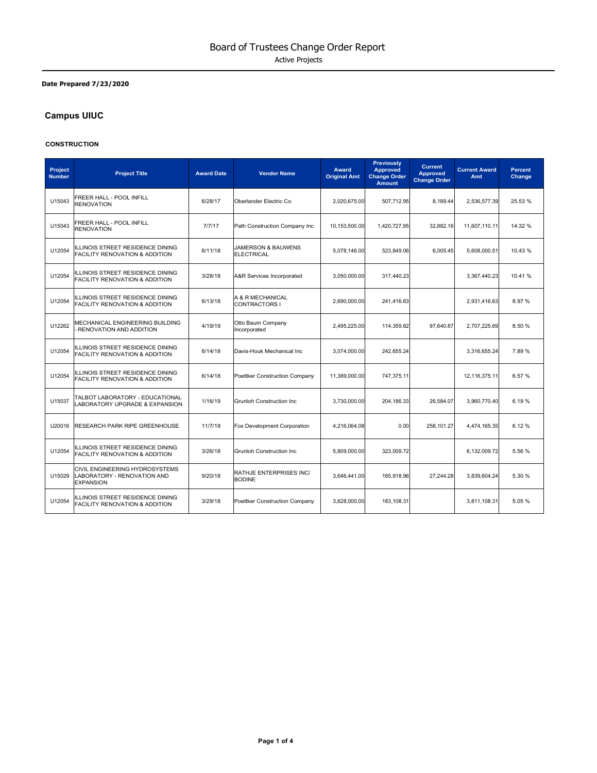#### **Date Prepared 7/23/2020**

# **Campus UIUC**

#### **CONSTRUCTION**

| Project<br><b>Number</b> | <b>Project Title</b>                                                              | <b>Award Date</b> | <b>Vendor Name</b>                                 | <b>Award</b><br><b>Original Amt</b> | <b>Previously</b><br><b>Approved</b><br><b>Change Order</b><br><b>Amount</b> | <b>Current</b><br><b>Approved</b><br><b>Change Order</b> | <b>Current Award</b><br>Amt | <b>Percent</b><br>Change |
|--------------------------|-----------------------------------------------------------------------------------|-------------------|----------------------------------------------------|-------------------------------------|------------------------------------------------------------------------------|----------------------------------------------------------|-----------------------------|--------------------------|
| U15043                   | FREER HALL - POOL INFILL<br><b>RENOVATION</b>                                     | 6/28/17           | Oberlander Electric Co                             | 2,020,675.00                        | 507,712.95                                                                   | 8.189.44                                                 | 2,536,577.39                | 25.53 %                  |
| U15043                   | FREER HALL - POOL INFILL<br><b>RENOVATION</b>                                     | 7/7/17            | Path Construction Company Inc                      | 10.153.500.00                       | 1.420.727.95                                                                 | 32.882.16                                                | 11.607.110.11               | 14.32 %                  |
| U12054                   | ILLINOIS STREET RESIDENCE DINING<br>FACILITY RENOVATION & ADDITION                | 6/11/18           | <b>JAMERSON &amp; BAUWENS</b><br><b>ELECTRICAL</b> | 5,078,146.00                        | 523,849.06                                                                   | 6,005.45                                                 | 5,608,000.51                | 10.43 %                  |
| U12054                   | ILLINOIS STREET RESIDENCE DINING<br>FACILITY RENOVATION & ADDITION                | 3/28/18           | A&R Services Incorporated                          | 3,050,000.00                        | 317,440.23                                                                   |                                                          | 3,367,440.23                | 10.41%                   |
| U12054                   | ILLINOIS STREET RESIDENCE DINING<br>FACILITY RENOVATION & ADDITION                | 6/13/18           | A & R MECHANICAL<br>CONTRACTORS I                  | 2,690,000.00                        | 241.416.63                                                                   |                                                          | 2.931.416.63                | 8.97%                    |
| U12262                   | MECHANICAL ENGINEERING BUILDING<br>RENOVATION AND ADDITION                        | 4/19/19           | Otto Baum Company<br>Incorporated                  | 2,495,225.00                        | 114,359.82                                                                   | 97,640.87                                                | 2,707,225.69                | 8.50%                    |
| U12054                   | ILLINOIS STREET RESIDENCE DINING<br><b>FACILITY RENOVATION &amp; ADDITION</b>     | 6/14/18           | Davis-Houk Mechanical Inc                          | 3,074,000.00                        | 242,655.24                                                                   |                                                          | 3,316,655.24                | 7.89%                    |
| U12054                   | ILLINOIS STREET RESIDENCE DINING<br>FACILITY RENOVATION & ADDITION                | 6/14/18           | Poettker Construction Company                      | 11,369,000.00                       | 747,375.11                                                                   |                                                          | 12,116,375.11               | 6.57%                    |
| U15037                   | TALBOT LABORATORY - EDUCATIONAL<br>LABORATORY UPGRADE & EXPANSION                 | 1/16/19           | <b>Grunloh Construction Inc</b>                    | 3,730,000.00                        | 204, 186.33                                                                  | 26,584.07                                                | 3,960,770.40                | 6.19%                    |
| U20016                   | <b>RESEARCH PARK RIPE GREENHOUSE</b>                                              | 11/7/19           | Fox Development Corporation                        | 4.216.064.08                        | 0.00                                                                         | 258.101.27                                               | 4,474,165.35                | 6.12%                    |
| U12054                   | ILLINOIS STREET RESIDENCE DINING<br>FACILITY RENOVATION & ADDITION                | 3/26/18           | <b>Grunloh Construction Inc.</b>                   | 5,809,000.00                        | 323,009.72                                                                   |                                                          | 6,132,009.72                | 5.56%                    |
| U15029                   | CIVIL ENGINEERING HYDROSYSTEMS<br>LABORATORY - RENOVATION AND<br><b>EXPANSION</b> | 9/20/18           | <b>RATHJE ENTERPRISES INC/</b><br><b>BODINE</b>    | 3,646,441.00                        | 165,918.96                                                                   | 27,244.28                                                | 3,839,604.24                | 5.30 %                   |
| U12054                   | ILLINOIS STREET RESIDENCE DINING<br><b>FACILITY RENOVATION &amp; ADDITION</b>     | 3/29/18           | Poettker Construction Company                      | 3.628.000.00                        | 183.108.31                                                                   |                                                          | 3.811.108.31                | 5.05%                    |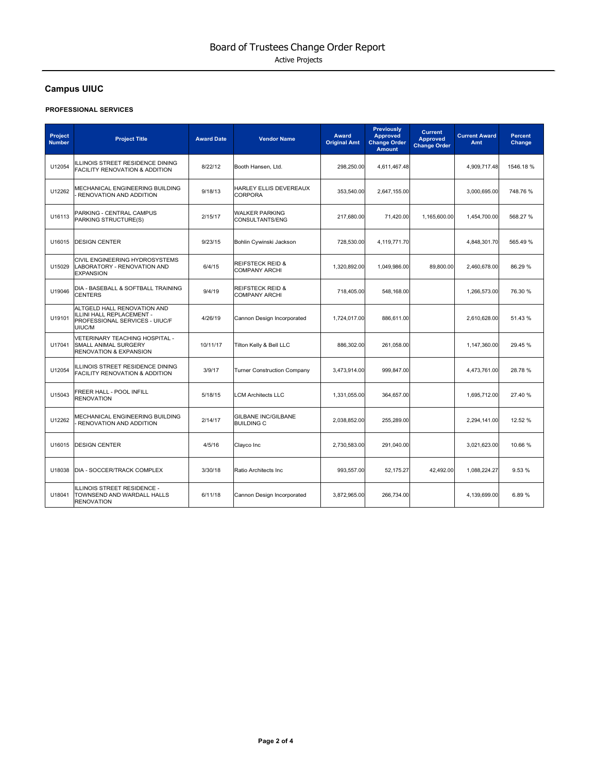# **Campus UIUC**

#### **PROFESSIONAL SERVICES**

| Project<br><b>Number</b> | <b>Project Title</b>                                                                                 | <b>Award Date</b> | <b>Vendor Name</b>                                  | Award<br><b>Original Amt</b> | <b>Previously</b><br><b>Approved</b><br><b>Change Order</b><br><b>Amount</b> | <b>Current</b><br><b>Approved</b><br><b>Change Order</b> | <b>Current Award</b><br>Amt | <b>Percent</b><br>Change |
|--------------------------|------------------------------------------------------------------------------------------------------|-------------------|-----------------------------------------------------|------------------------------|------------------------------------------------------------------------------|----------------------------------------------------------|-----------------------------|--------------------------|
| U12054                   | ILLINOIS STREET RESIDENCE DINING<br>FACILITY RENOVATION & ADDITION                                   | 8/22/12           | Booth Hansen, Ltd.                                  | 298,250.00                   | 4,611,467.48                                                                 |                                                          | 4,909,717.48                | 1546.18%                 |
| U12262                   | MECHANICAL ENGINEERING BUILDING<br>RENOVATION AND ADDITION                                           | 9/18/13           | HARLEY ELLIS DEVEREAUX<br><b>CORPORA</b>            | 353,540.00                   | 2,647,155.00                                                                 |                                                          | 3,000,695.00                | 748.76%                  |
| U16113                   | PARKING - CENTRAL CAMPUS<br>PARKING STRUCTURE(S)                                                     | 2/15/17           | <b>WALKER PARKING</b><br>CONSULTANTS/ENG            | 217,680.00                   | 71,420.00                                                                    | 1,165,600.00                                             | 1,454,700.00                | 568.27%                  |
| U16015                   | <b>DESIGN CENTER</b>                                                                                 | 9/23/15           | Bohlin Cywinski Jackson                             | 728,530.00                   | 4,119,771.70                                                                 |                                                          | 4,848,301.70                | 565.49%                  |
| U15029                   | CIVIL ENGINEERING HYDROSYSTEMS<br>LABORATORY - RENOVATION AND<br><b>EXPANSION</b>                    | 6/4/15            | <b>REIFSTECK REID &amp;</b><br><b>COMPANY ARCHI</b> | 1,320,892.00                 | 1,049,986.00                                                                 | 89,800.00                                                | 2,460,678.00                | 86.29 %                  |
| U19046                   | DIA - BASEBALL & SOFTBALL TRAINING<br><b>CENTERS</b>                                                 | 9/4/19            | <b>REIFSTECK REID &amp;</b><br><b>COMPANY ARCHI</b> | 718,405.00                   | 548,168.00                                                                   |                                                          | 1,266,573.00                | 76.30 %                  |
| U19101                   | ALTGELD HALL RENOVATION AND<br>ILLINI HALL REPLACEMENT -<br>PROFESSIONAL SERVICES - UIUC/F<br>UIUC/M | 4/26/19           | Cannon Design Incorporated                          | 1,724,017.00                 | 886,611.00                                                                   |                                                          | 2,610,628.00                | 51.43 %                  |
| U17041                   | VETERINARY TEACHING HOSPITAL -<br>SMALL ANIMAL SURGERY<br><b>RENOVATION &amp; EXPANSION</b>          | 10/11/17          | Tilton Kelly & Bell LLC                             | 886,302.00                   | 261,058.00                                                                   |                                                          | 1,147,360.00                | 29.45 %                  |
| U12054                   | ILLINOIS STREET RESIDENCE DINING<br><b>FACILITY RENOVATION &amp; ADDITION</b>                        | 3/9/17            | <b>Turner Construction Company</b>                  | 3,473,914.00                 | 999,847.00                                                                   |                                                          | 4,473,761.00                | 28.78%                   |
| U15043                   | FREER HALL - POOL INFILL<br><b>RENOVATION</b>                                                        | 5/18/15           | <b>LCM Architects LLC</b>                           | 1,331,055.00                 | 364,657.00                                                                   |                                                          | 1,695,712.00                | 27.40 %                  |
| U12262                   | MECHANICAL ENGINEERING BUILDING<br>RENOVATION AND ADDITION                                           | 2/14/17           | <b>GILBANE INC/GILBANE</b><br><b>BUILDING C</b>     | 2,038,852.00                 | 255,289.00                                                                   |                                                          | 2,294,141.00                | 12.52 %                  |
| U16015                   | <b>DESIGN CENTER</b>                                                                                 | 4/5/16            | Clayco Inc                                          | 2,730,583.00                 | 291,040.00                                                                   |                                                          | 3,021,623.00                | 10.66 %                  |
| U18038                   | DIA - SOCCER/TRACK COMPLEX                                                                           | 3/30/18           | Ratio Architects Inc                                | 993,557.00                   | 52,175.27                                                                    | 42,492.00                                                | 1,088,224.27                | 9.53%                    |
| U18041                   | ILLINOIS STREET RESIDENCE -<br>TOWNSEND AND WARDALL HALLS<br><b>RENOVATION</b>                       | 6/11/18           | Cannon Design Incorporated                          | 3,872,965.00                 | 266,734.00                                                                   |                                                          | 4,139,699.00                | 6.89%                    |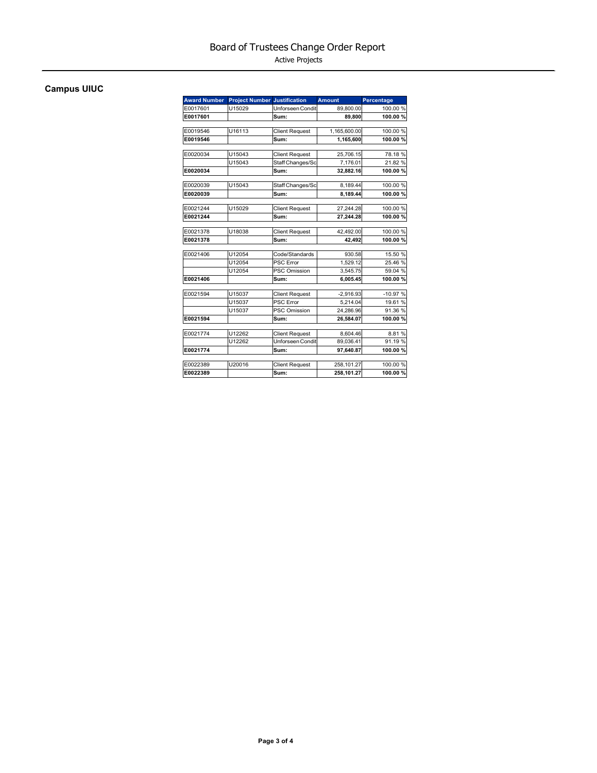Active Projects

# **Campus UIUC**

| <b>Award Number</b> | <b>Project Number Justification</b> |                       | <b>Amount</b> | Percentage |
|---------------------|-------------------------------------|-----------------------|---------------|------------|
| E0017601            | U15029                              | Unforseen Condit      | 89,800.00     | 100.00 %   |
| E0017601            |                                     | Sum:                  | 89,800        | 100.00%    |
|                     |                                     |                       |               |            |
| E0019546            | U16113                              | <b>Client Request</b> | 1,165,600.00  | 100.00%    |
| E0019546            |                                     | Sum:                  | 1,165,600     | 100.00%    |
| E0020034            | U15043                              | <b>Client Request</b> | 25,706.15     | 78.18%     |
|                     | U15043                              | Staff Changes/Sc      | 7.176.01      | 21.82%     |
| E0020034            |                                     | Sum:                  | 32,882.16     | 100.00%    |
|                     |                                     |                       |               |            |
| E0020039            | U15043                              | Staff Changes/Sc      | 8,189.44      | 100.00 %   |
| E0020039            |                                     | Sum:                  | 8,189.44      | 100.00%    |
| E0021244            | U15029                              | <b>Client Request</b> | 27,244.28     | 100.00 %   |
| E0021244            |                                     | Sum:                  | 27,244.28     | 100.00%    |
|                     |                                     |                       |               |            |
| E0021378            | U18038                              | <b>Client Request</b> | 42,492.00     | 100.00 %   |
| E0021378            |                                     | Sum:                  | 42,492        | 100.00%    |
| E0021406            | U12054                              | Code/Standards        | 930.58        | 15.50 %    |
|                     | U12054                              | PSC Error             | 1,529.12      | 25.46 %    |
|                     | U12054                              | PSC Omission          | 3,545.75      | 59.04 %    |
| E0021406            |                                     | Sum:                  | 6,005.45      | 100.00%    |
|                     |                                     |                       |               |            |
| E0021594            | U15037                              | <b>Client Request</b> | $-2,916.93$   | $-10.97%$  |
|                     | U15037                              | PSC Error             | 5.214.04      | 19.61 %    |
|                     | U15037                              | <b>PSC Omission</b>   | 24,286.96     | 91.36 %    |
| E0021594            |                                     | Sum:                  | 26,584.07     | 100.00%    |
| E0021774            | U12262                              | <b>Client Request</b> | 8,604.46      | 8.81%      |
|                     | U12262                              | Unforseen Condit      | 89.036.41     | 91.19%     |
| E0021774            |                                     | Sum:                  | 97.640.87     | 100.00%    |
|                     |                                     |                       |               |            |
| E0022389            | U20016                              | <b>Client Request</b> | 258,101.27    | 100.00 %   |
| E0022389            |                                     | Sum:                  | 258.101.27    | 100.00%    |